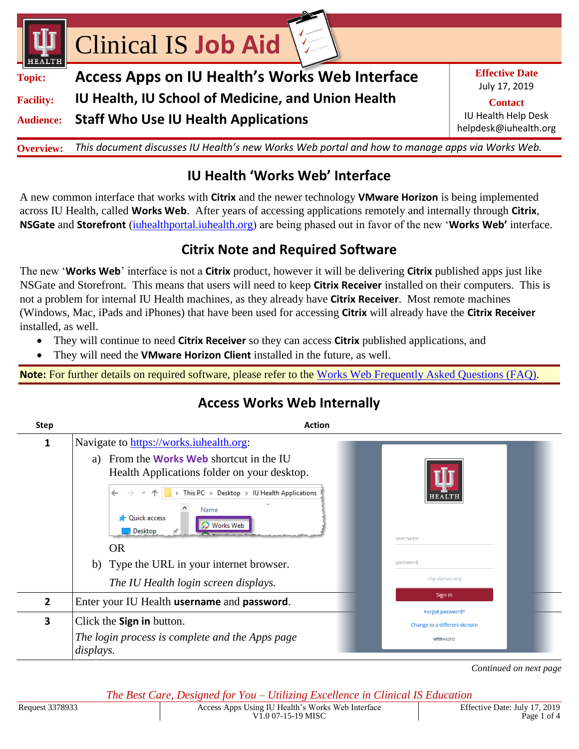

## **IU Health 'Works Web' Interface**

A new common interface that works with **Citrix** and the newer technology **VMware Horizon** is being implemented across IU Health, called **Works Web**. After years of accessing applications remotely and internally through **Citrix**, **NSGate** and **Storefront** (iuhealthportal.iuhealth.org) are being phased out in favor of the new '**Works Web'** interface.

#### **Citrix Note and Required Software**

The new '**Works Web**' interface is not a **Citrix** product, however it will be delivering **Citrix** published apps just like NSGate and Storefront. This means that users will need to keep **Citrix Receiver** installed on their computers. This is not a problem for internal IU Health machines, as they already have **Citrix Receiver**. Most remote machines (Windows, Mac, iPads and iPhones) that have been used for accessing **Citrix** will already have the **Citrix Receiver** installed, as well.

- They will continue to need **Citrix Receiver** so they can access **Citrix** published applications, and
- They will need the **VMware Horizon Client** installed in the future, as well.

**Note:** For further details on required software, please refer to the [Works Web Frequently Asked Questions \(FAQ\).](https://iuhealth.sharepoint.com/sites/IS%20Clinical%20Education/Job%20Aids%20and%20Updates/1%20Monthly%20Updates/2019%20-%20by%20month/07%20July/Works%20Web.pdf)

| <b>Step</b>    | <b>Action</b>                                                                                                                                                                                                                                                        |                                                  |
|----------------|----------------------------------------------------------------------------------------------------------------------------------------------------------------------------------------------------------------------------------------------------------------------|--------------------------------------------------|
| 1              | Navigate to https://works.iuhealth.org:                                                                                                                                                                                                                              |                                                  |
|                | a) From the <b>Works Web</b> shortcut in the IU<br>Health Applications folder on your desktop.<br>$\rightarrow$ This PC $\rightarrow$ Desktop $\rightarrow$ IU Health Applications<br>Name<br><b>Duick access</b><br><b>Works Web</b><br>$\Box$ Desktop<br><b>OR</b> | HEALT<br>username                                |
|                | b) Type the URL in your internet browser.                                                                                                                                                                                                                            | password                                         |
|                | The IU Health login screen displays.                                                                                                                                                                                                                                 | chp.clarian.org                                  |
| $\overline{2}$ | Enter your IU Health username and password.                                                                                                                                                                                                                          | Sign in                                          |
| 3              | Click the Sign in button.                                                                                                                                                                                                                                            | Forgot password?<br>Change to a different domain |
|                | The login process is complete and the Apps page<br>displays.                                                                                                                                                                                                         | <b>vm</b> ware                                   |

# **Access Works Web Internally**

*Continued on next page*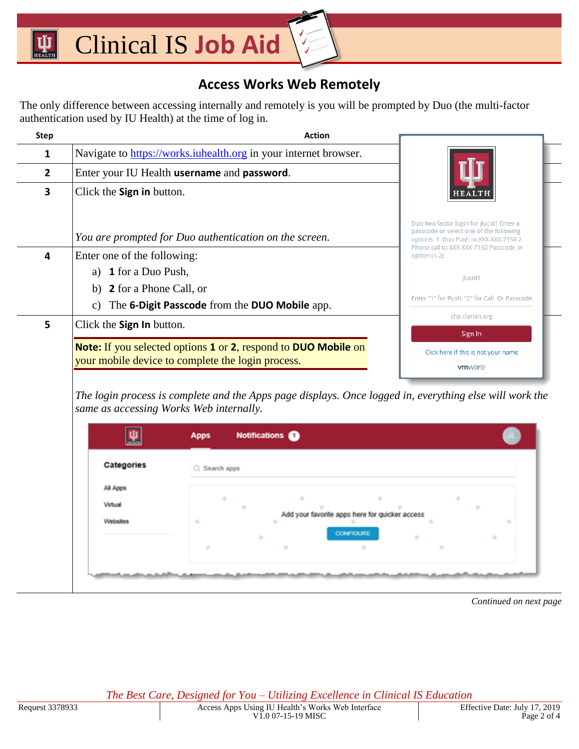#### **Access Works Web Remotely**

The only difference between accessing internally and remotely is you will be prompted by Duo (the multi-factor authentication used by IU Health) at the time of log in.

| <b>Step</b> | <b>Action</b>                                                                                                                     |                                                                                                                                |
|-------------|-----------------------------------------------------------------------------------------------------------------------------------|--------------------------------------------------------------------------------------------------------------------------------|
| 1           | Navigate to https://works.iuhealth.org in your internet browser.                                                                  |                                                                                                                                |
| 2           | Enter your IU Health username and password.                                                                                       |                                                                                                                                |
| 3           | Click the <b>Sign in</b> button.                                                                                                  |                                                                                                                                |
|             | You are prompted for Duo authentication on the screen.                                                                            | Duo two-factor login for ilucid1 Enter a<br>passcode or select one of the following<br>options: 1. Duo Push to XXX-XXX-7150 2. |
| 4           | Enter one of the following:                                                                                                       | Phone call to XXX-XXX-7150 Passcode or<br>option (1-2):                                                                        |
|             | <b>1</b> for a Duo Push,<br>a)                                                                                                    | jlucid1                                                                                                                        |
|             | b) <b>2</b> for a Phone Call, or                                                                                                  |                                                                                                                                |
|             | The 6-Digit Passcode from the DUO Mobile app.<br>$\mathcal{C}$ )                                                                  | Enter "1" for Push, "2" for Call. Or Passcode.                                                                                 |
| 5           | Click the <b>Sign In</b> button.                                                                                                  | chp.clarian.org                                                                                                                |
|             | <b>Note:</b> If you selected options 1 or 2, respond to <b>DUO Mobile</b> on<br>your mobile device to complete the login process. | Sign In<br>Click here if this is not your name<br><b>vm</b> ware                                                               |

*The login process is complete and the Apps page displays. Once logged in, everything else will work the same as accessing Works Web internally.*

| Categories | C. Search apps |                                                |    |
|------------|----------------|------------------------------------------------|----|
| All Apps   |                |                                                |    |
| Virtual    |                |                                                |    |
| Websites   | yí,            | Add your favorite apps here for quicker access |    |
|            |                | <b>CONFIGURE</b>                               |    |
|            | 16             | v.                                             | v. |

*Continued on next page*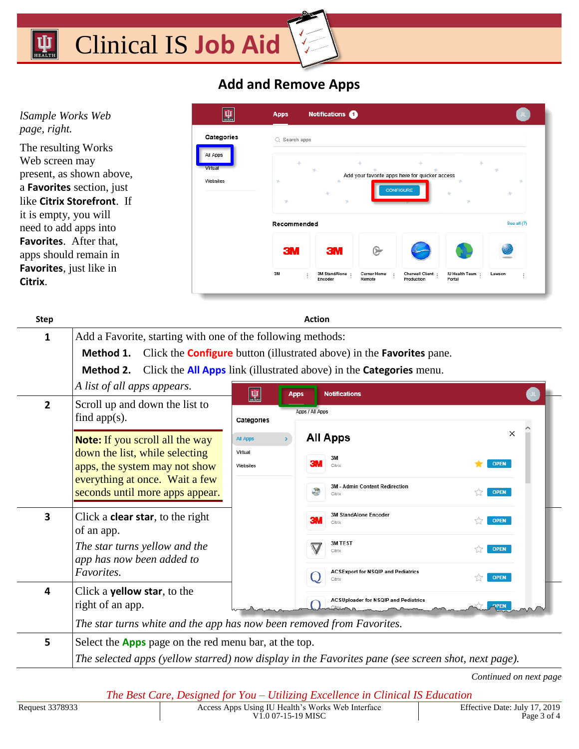#### Clinical IS **Job Aid**   $\mathbf{\bar{u}}$

### **Add and Remove Apps**

| 聖                                             | <b>Apps</b>                                                                                                   |                                       |                                   |                                      |                                 |             |
|-----------------------------------------------|---------------------------------------------------------------------------------------------------------------|---------------------------------------|-----------------------------------|--------------------------------------|---------------------------------|-------------|
| Categories<br>All Apps<br>Virtual<br>Websites | $\bigcirc$ Search apps<br>Add your favorite apps here for quicker access<br><b>CONFIGURE</b><br>$\mathcal{A}$ |                                       |                                   |                                      |                                 |             |
|                                               |                                                                                                               |                                       |                                   |                                      |                                 | See all (7) |
|                                               | <b>3M</b><br>3M                                                                                               | <b>3M</b><br>3M StandAlone<br>Encoder | ⋐<br><b>Cerner Home</b><br>Remote | <b>Cherwell Client</b><br>Production | <b>IU Health Team</b><br>Portal | Lawson      |
|                                               |                                                                                                               |                                       | Recommended                       | <b>Notifications</b>                 |                                 |             |

| <b>Step</b> | <b>Action</b>                                                                                    |                     |                                                                                                    |             |  |  |  |
|-------------|--------------------------------------------------------------------------------------------------|---------------------|----------------------------------------------------------------------------------------------------|-------------|--|--|--|
| 1           | Add a Favorite, starting with one of the following methods:                                      |                     |                                                                                                    |             |  |  |  |
|             | Click the <b>Configure</b> button (illustrated above) in the <b>Favorites</b> pane.<br>Method 1. |                     |                                                                                                    |             |  |  |  |
|             | Click the <b>All Apps</b> link (illustrated above) in the <b>Categories</b> menu.<br>Method 2.   |                     |                                                                                                    |             |  |  |  |
|             | A list of all apps appears.                                                                      | $\Psi$              | <b>Notifications</b><br><b>Apps</b>                                                                |             |  |  |  |
| 2           | Scroll up and down the list to<br>find app $(s)$ .                                               | Categories          | Apps / All Apps                                                                                    |             |  |  |  |
|             | <b>Note:</b> If you scroll all the way                                                           | <b>All Apps</b>     | <b>All Apps</b>                                                                                    | $\times$    |  |  |  |
|             | down the list, while selecting<br>apps, the system may not show                                  | Virtual<br>Websites | 3M<br>Citrix                                                                                       | <b>OPEN</b> |  |  |  |
|             | everything at once. Wait a few<br>seconds until more apps appear.                                |                     | 3M - Admin Content Redirection<br>Citrix                                                           | <b>OPEN</b> |  |  |  |
| 3           | Click a <b>clear star</b> , to the right<br>of an app.                                           |                     | <b>3M StandAlone Encoder</b><br>Citrix                                                             | <b>OPEN</b> |  |  |  |
|             | The star turns yellow and the<br>app has now been added to                                       |                     | 3M TEST<br>Citrix                                                                                  | <b>OPEN</b> |  |  |  |
|             | Favorites.                                                                                       |                     | <b>ACSExport for NSQIP and Pediatrics</b><br>Citrix                                                | <b>OPEN</b> |  |  |  |
| 4           | Click a <b>yellow star</b> , to the<br>right of an app.                                          |                     | <b>ACSUploader for NSQIP and Pediatrics</b>                                                        | <b>APEN</b> |  |  |  |
|             | The star turns white and the app has now been removed from Favorites.                            |                     |                                                                                                    |             |  |  |  |
| 5           | Select the <b>Apps</b> page on the red menu bar, at the top.                                     |                     | The selected apps (yellow starred) now display in the Favorites pane (see screen shot, next page). |             |  |  |  |

*Continued on next page*